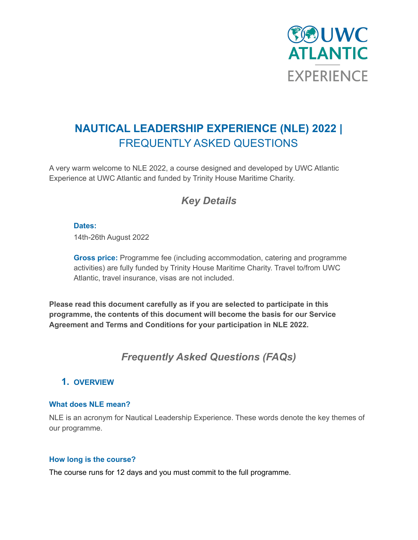

# **NAUTICAL LEADERSHIP EXPERIENCE (NLE) 2022 |** FREQUENTLY ASKED QUESTIONS

A very warm welcome to NLE 2022, a course designed and developed by UWC Atlantic Experience at UWC Atlantic and funded by Trinity House Maritime Charity.

## *Key Details*

### **Dates:**

14th-26th August 2022

**Gross price:** Programme fee (including accommodation, catering and programme activities) are fully funded by Trinity House Maritime Charity. Travel to/from UWC Atlantic, travel insurance, visas are not included.

**Please read this document carefully as if you are selected to participate in this programme, the contents of this document will become the basis for our Service Agreement and Terms and Conditions for your participation in NLE 2022.**

## *Frequently Asked Questions (FAQs)*

### **1. OVERVIEW**

### **What does NLE mean?**

NLE is an acronym for Nautical Leadership Experience. These words denote the key themes of our programme.

### **How long is the course?**

The course runs for 12 days and you must commit to the full programme.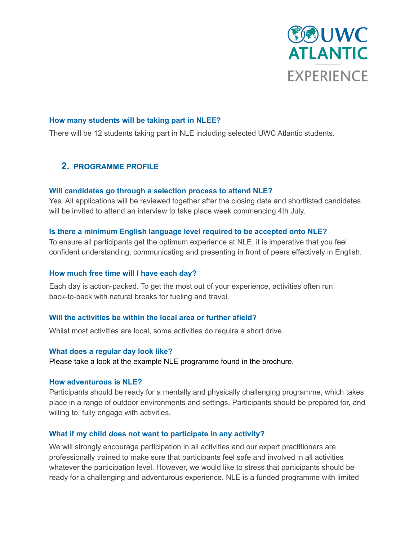

### **How many students will be taking part in NLEE?**

There will be 12 students taking part in NLE including selected UWC Atlantic students.

### **2. PROGRAMME PROFILE**

### **Will candidates go through a selection process to attend NLE?**

Yes. All applications will be reviewed together after the closing date and shortlisted candidates will be invited to attend an interview to take place week commencing 4th July.

### **Is there a minimum English language level required to be accepted onto NLE?**

To ensure all participants get the optimum experience at NLE, it is imperative that you feel confident understanding, communicating and presenting in front of peers effectively in English.

### **How much free time will I have each day?**

Each day is action-packed. To get the most out of your experience, activities often run back-to-back with natural breaks for fueling and travel.

### **Will the activities be within the local area or further afield?**

Whilst most activities are local, some activities do require a short drive.

### **What does a regular day look like?**

Please take a look at the example NLE programme found in the brochure.

### **How adventurous is NLE?**

Participants should be ready for a mentally and physically challenging programme, which takes place in a range of outdoor environments and settings. Participants should be prepared for, and willing to, fully engage with activities.

### **What if my child does not want to participate in any activity?**

We will strongly encourage participation in all activities and our expert practitioners are professionally trained to make sure that participants feel safe and involved in all activities whatever the participation level. However, we would like to stress that participants should be ready for a challenging and adventurous experience. NLE is a funded programme with limited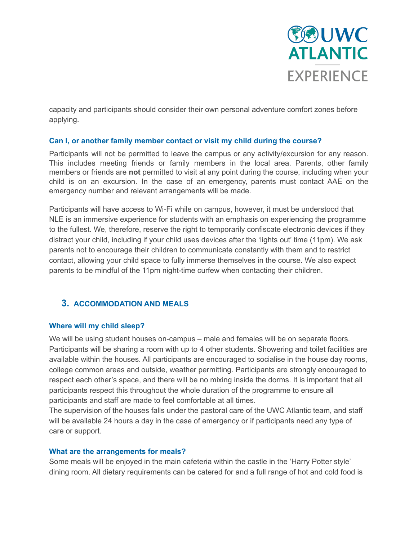

capacity and participants should consider their own personal adventure comfort zones before applying.

### **Can I, or another family member contact or visit my child during the course?**

Participants will not be permitted to leave the campus or any activity/excursion for any reason. This includes meeting friends or family members in the local area. Parents, other family members or friends are **not** permitted to visit at any point during the course, including when your child is on an excursion. In the case of an emergency, parents must contact AAE on the emergency number and relevant arrangements will be made.

Participants will have access to Wi-Fi while on campus, however, it must be understood that NLE is an immersive experience for students with an emphasis on experiencing the programme to the fullest. We, therefore, reserve the right to temporarily confiscate electronic devices if they distract your child, including if your child uses devices after the 'lights out' time (11pm). We ask parents not to encourage their children to communicate constantly with them and to restrict contact, allowing your child space to fully immerse themselves in the course. We also expect parents to be mindful of the 11pm night-time curfew when contacting their children.

### **3. ACCOMMODATION AND MEALS**

### **Where will my child sleep?**

We will be using student houses on-campus – male and females will be on separate floors. Participants will be sharing a room with up to 4 other students. Showering and toilet facilities are available within the houses. All participants are encouraged to socialise in the house day rooms, college common areas and outside, weather permitting. Participants are strongly encouraged to respect each other's space, and there will be no mixing inside the dorms. It is important that all participants respect this throughout the whole duration of the programme to ensure all participants and staff are made to feel comfortable at all times.

The supervision of the houses falls under the pastoral care of the UWC Atlantic team, and staff will be available 24 hours a day in the case of emergency or if participants need any type of care or support.

### **What are the arrangements for meals?**

Some meals will be enjoyed in the main cafeteria within the castle in the 'Harry Potter style' dining room. All dietary requirements can be catered for and a full range of hot and cold food is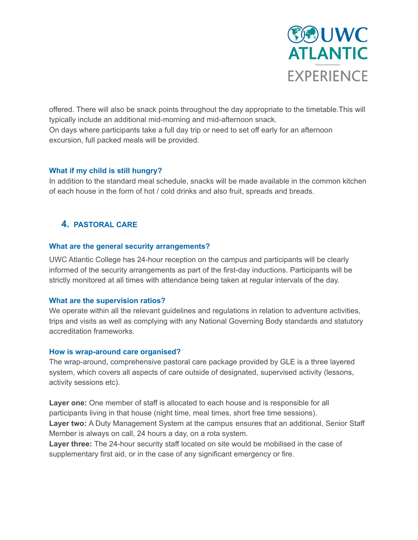

offered. There will also be snack points throughout the day appropriate to the timetable.This will typically include an additional mid-morning and mid-afternoon snack. On days where participants take a full day trip or need to set off early for an afternoon excursion, full packed meals will be provided.

### **What if my child is still hungry?**

In addition to the standard meal schedule, snacks will be made available in the common kitchen of each house in the form of hot / cold drinks and also fruit, spreads and breads.

### **4. PASTORAL CARE**

### **What are the general security arrangements?**

UWC Atlantic College has 24-hour reception on the campus and participants will be clearly informed of the security arrangements as part of the first-day inductions. Participants will be strictly monitored at all times with attendance being taken at regular intervals of the day.

### **What are the supervision ratios?**

We operate within all the relevant guidelines and regulations in relation to adventure activities, trips and visits as well as complying with any National Governing Body standards and statutory accreditation frameworks.

### **How is wrap-around care organised?**

The wrap-around, comprehensive pastoral care package provided by GLE is a three layered system, which covers all aspects of care outside of designated, supervised activity (lessons, activity sessions etc).

**Layer one:** One member of staff is allocated to each house and is responsible for all participants living in that house (night time, meal times, short free time sessions). **Layer two:** A Duty Management System at the campus ensures that an additional, Senior Staff

Member is always on call, 24 hours a day, on a rota system.

**Layer three:** The 24-hour security staff located on site would be mobilised in the case of supplementary first aid, or in the case of any significant emergency or fire.